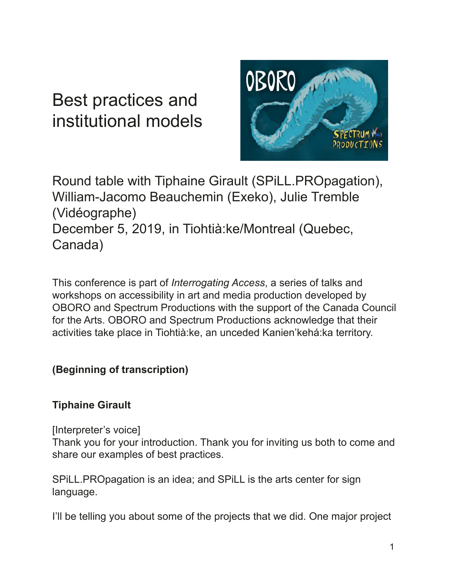# Best practices and institutional models



Round table with Tiphaine Girault (SPiLL.PROpagation), William-Jacomo Beauchemin (Exeko), Julie Tremble (Vidéographe) December 5, 2019, in Tiohtià:ke/Montreal (Quebec, Canada)

This conference is part of *Interrogating Access*, a series of talks and workshops on accessibility in art and media production developed by OBORO and Spectrum Productions with the support of the Canada Council for the Arts. OBORO and Spectrum Productions acknowledge that their activities take place in Tiohtià:ke, an unceded Kanien'kehá:ka territory.

## **(Beginning of transcription)**

## **Tiphaine Girault**

[Interpreter's voice]

Thank you for your introduction. Thank you for inviting us both to come and share our examples of best practices.

SPiLL.PROpagation is an idea; and SPiLL is the arts center for sign language.

I'll be telling you about some of the projects that we did. One major project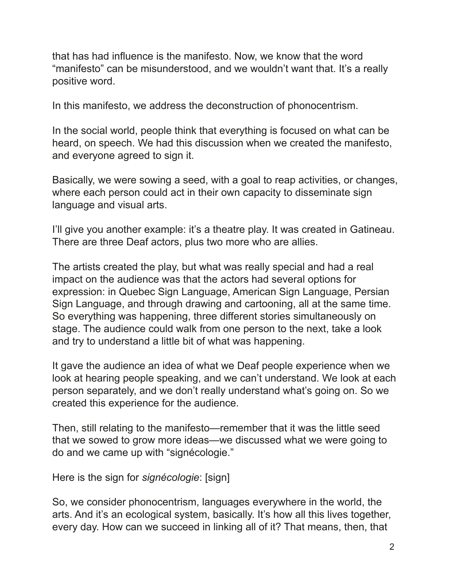that has had infuence is the manifesto. Now, we know that the word "manifesto" can be misunderstood, and we wouldn't want that. It's a really positive word.

In this manifesto, we address the deconstruction of phonocentrism.

In the social world, people think that everything is focused on what can be heard, on speech. We had this discussion when we created the manifesto, and everyone agreed to sign it.

Basically, we were sowing a seed, with a goal to reap activities, or changes, where each person could act in their own capacity to disseminate sign language and visual arts.

I'll give you another example: it's a theatre play. It was created in Gatineau. There are three Deaf actors, plus two more who are allies.

The artists created the play, but what was really special and had a real impact on the audience was that the actors had several options for expression: in Quebec Sign Language, American Sign Language, Persian Sign Language, and through drawing and cartooning, all at the same time. So everything was happening, three different stories simultaneously on stage. The audience could walk from one person to the next, take a look and try to understand a little bit of what was happening.

It gave the audience an idea of what we Deaf people experience when we look at hearing people speaking, and we can't understand. We look at each person separately, and we don't really understand what's going on. So we created this experience for the audience.

Then, still relating to the manifesto—remember that it was the little seed that we sowed to grow more ideas—we discussed what we were going to do and we came up with "signécologie."

Here is the sign for *signécologie*: [sign]

So, we consider phonocentrism, languages everywhere in the world, the arts. And it's an ecological system, basically. It's how all this lives together, every day. How can we succeed in linking all of it? That means, then, that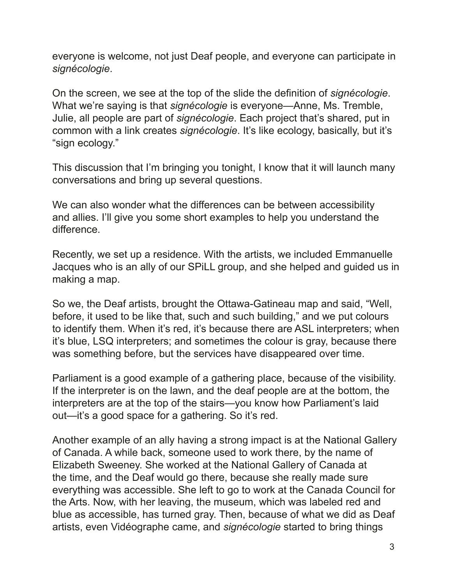everyone is welcome, not just Deaf people, and everyone can participate in *signécologie*.

On the screen, we see at the top of the slide the defnition of *signécologie*. What we're saying is that *signécologie* is everyone—Anne, Ms. Tremble, Julie, all people are part of *signécologie*. Each project that's shared, put in common with a link creates *signécologie*. It's like ecology, basically, but it's "sign ecology."

This discussion that I'm bringing you tonight, I know that it will launch many conversations and bring up several questions.

We can also wonder what the differences can be between accessibility and allies. I'll give you some short examples to help you understand the difference.

Recently, we set up a residence. With the artists, we included Emmanuelle Jacques who is an ally of our SPiLL group, and she helped and guided us in making a map.

So we, the Deaf artists, brought the Ottawa-Gatineau map and said, "Well, before, it used to be like that, such and such building," and we put colours to identify them. When it's red, it's because there are ASL interpreters; when it's blue, LSQ interpreters; and sometimes the colour is gray, because there was something before, but the services have disappeared over time.

Parliament is a good example of a gathering place, because of the visibility. If the interpreter is on the lawn, and the deaf people are at the bottom, the interpreters are at the top of the stairs—you know how Parliament's laid out—it's a good space for a gathering. So it's red.

Another example of an ally having a strong impact is at the National Gallery of Canada. A while back, someone used to work there, by the name of Elizabeth Sweeney. She worked at the National Gallery of Canada at the time, and the Deaf would go there, because she really made sure everything was accessible. She left to go to work at the Canada Council for the Arts. Now, with her leaving, the museum, which was labeled red and blue as accessible, has turned gray. Then, because of what we did as Deaf artists, even Vidéographe came, and *signécologie* started to bring things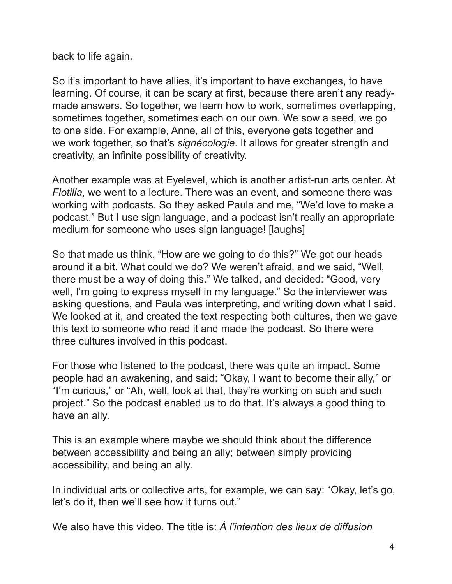back to life again.

So it's important to have allies, it's important to have exchanges, to have learning. Of course, it can be scary at first, because there aren't any readymade answers. So together, we learn how to work, sometimes overlapping, sometimes together, sometimes each on our own. We sow a seed, we go to one side. For example, Anne, all of this, everyone gets together and we work together, so that's *signécologie*. It allows for greater strength and creativity, an infnite possibility of creativity.

Another example was at Eyelevel, which is another artist-run arts center. At *Flotilla*, we went to a lecture. There was an event, and someone there was working with podcasts. So they asked Paula and me, "We'd love to make a podcast." But I use sign language, and a podcast isn't really an appropriate medium for someone who uses sign language! [laughs]

So that made us think, "How are we going to do this?" We got our heads around it a bit. What could we do? We weren't afraid, and we said, "Well, there must be a way of doing this." We talked, and decided: "Good, very well, I'm going to express myself in my language." So the interviewer was asking questions, and Paula was interpreting, and writing down what I said. We looked at it, and created the text respecting both cultures, then we gave this text to someone who read it and made the podcast. So there were three cultures involved in this podcast.

For those who listened to the podcast, there was quite an impact. Some people had an awakening, and said: "Okay, I want to become their ally," or "I'm curious," or "Ah, well, look at that, they're working on such and such project." So the podcast enabled us to do that. It's always a good thing to have an ally.

This is an example where maybe we should think about the difference between accessibility and being an ally; between simply providing accessibility, and being an ally.

In individual arts or collective arts, for example, we can say: "Okay, let's go, let's do it, then we'll see how it turns out."

We also have this video. The title is: *À l'intention des lieux de diffusion*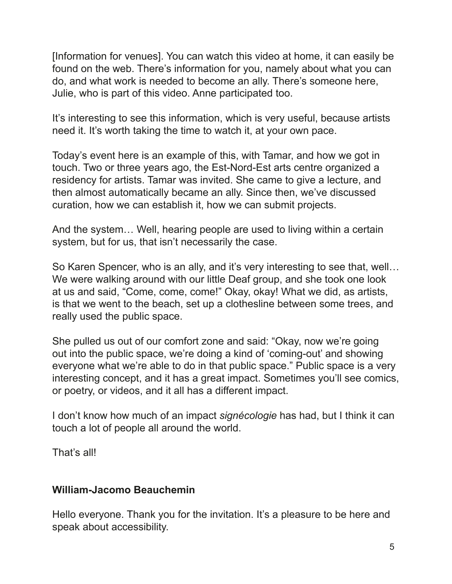[Information for venues]. You can watch this video at home, it can easily be found on the web. There's information for you, namely about what you can do, and what work is needed to become an ally. There's someone here, Julie, who is part of this video. Anne participated too.

It's interesting to see this information, which is very useful, because artists need it. It's worth taking the time to watch it, at your own pace.

Today's event here is an example of this, with Tamar, and how we got in touch. Two or three years ago, the Est-Nord-Est arts centre organized a residency for artists. Tamar was invited. She came to give a lecture, and then almost automatically became an ally. Since then, we've discussed curation, how we can establish it, how we can submit projects.

And the system… Well, hearing people are used to living within a certain system, but for us, that isn't necessarily the case.

So Karen Spencer, who is an ally, and it's very interesting to see that, well… We were walking around with our little Deaf group, and she took one look at us and said, "Come, come, come!" Okay, okay! What we did, as artists, is that we went to the beach, set up a clothesline between some trees, and really used the public space.

She pulled us out of our comfort zone and said: "Okay, now we're going out into the public space, we're doing a kind of 'coming-out' and showing everyone what we're able to do in that public space." Public space is a very interesting concept, and it has a great impact. Sometimes you'll see comics, or poetry, or videos, and it all has a different impact.

I don't know how much of an impact *signécologie* has had, but I think it can touch a lot of people all around the world.

That's all!

#### **William-Jacomo Beauchemin**

Hello everyone. Thank you for the invitation. It's a pleasure to be here and speak about accessibility.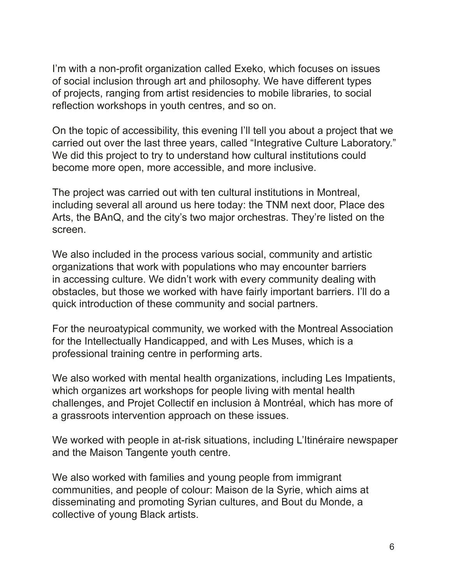I'm with a non-profit organization called Exeko, which focuses on issues of social inclusion through art and philosophy. We have different types of projects, ranging from artist residencies to mobile libraries, to social reflection workshops in youth centres, and so on.

On the topic of accessibility, this evening I'll tell you about a project that we carried out over the last three years, called "Integrative Culture Laboratory." We did this project to try to understand how cultural institutions could become more open, more accessible, and more inclusive.

The project was carried out with ten cultural institutions in Montreal, including several all around us here today: the TNM next door, Place des Arts, the BAnQ, and the city's two major orchestras. They're listed on the screen.

We also included in the process various social, community and artistic organizations that work with populations who may encounter barriers in accessing culture. We didn't work with every community dealing with obstacles, but those we worked with have fairly important barriers. I'll do a quick introduction of these community and social partners.

For the neuroatypical community, we worked with the Montreal Association for the Intellectually Handicapped, and with Les Muses, which is a professional training centre in performing arts.

We also worked with mental health organizations, including Les Impatients, which organizes art workshops for people living with mental health challenges, and Projet Collectif en inclusion à Montréal, which has more of a grassroots intervention approach on these issues.

We worked with people in at-risk situations, including L'Itinéraire newspaper and the Maison Tangente youth centre.

We also worked with families and young people from immigrant communities, and people of colour: Maison de la Syrie, which aims at disseminating and promoting Syrian cultures, and Bout du Monde, a collective of young Black artists.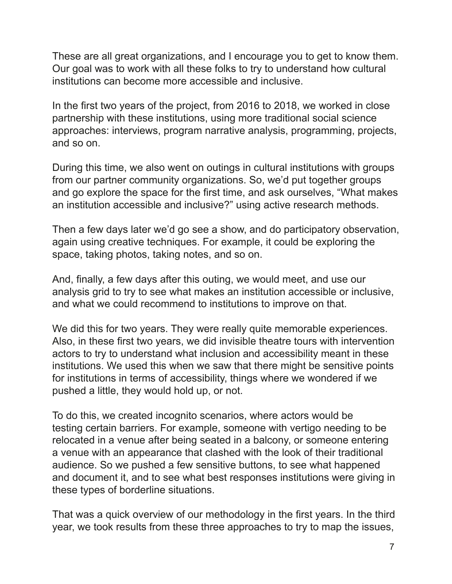These are all great organizations, and I encourage you to get to know them. Our goal was to work with all these folks to try to understand how cultural institutions can become more accessible and inclusive.

In the frst two years of the project, from 2016 to 2018, we worked in close partnership with these institutions, using more traditional social science approaches: interviews, program narrative analysis, programming, projects, and so on.

During this time, we also went on outings in cultural institutions with groups from our partner community organizations. So, we'd put together groups and go explore the space for the frst time, and ask ourselves, "What makes an institution accessible and inclusive?" using active research methods.

Then a few days later we'd go see a show, and do participatory observation, again using creative techniques. For example, it could be exploring the space, taking photos, taking notes, and so on.

And, finally, a few days after this outing, we would meet, and use our analysis grid to try to see what makes an institution accessible or inclusive, and what we could recommend to institutions to improve on that.

We did this for two years. They were really quite memorable experiences. Also, in these first two years, we did invisible theatre tours with intervention actors to try to understand what inclusion and accessibility meant in these institutions. We used this when we saw that there might be sensitive points for institutions in terms of accessibility, things where we wondered if we pushed a little, they would hold up, or not.

To do this, we created incognito scenarios, where actors would be testing certain barriers. For example, someone with vertigo needing to be relocated in a venue after being seated in a balcony, or someone entering a venue with an appearance that clashed with the look of their traditional audience. So we pushed a few sensitive buttons, to see what happened and document it, and to see what best responses institutions were giving in these types of borderline situations.

That was a quick overview of our methodology in the first years. In the third year, we took results from these three approaches to try to map the issues,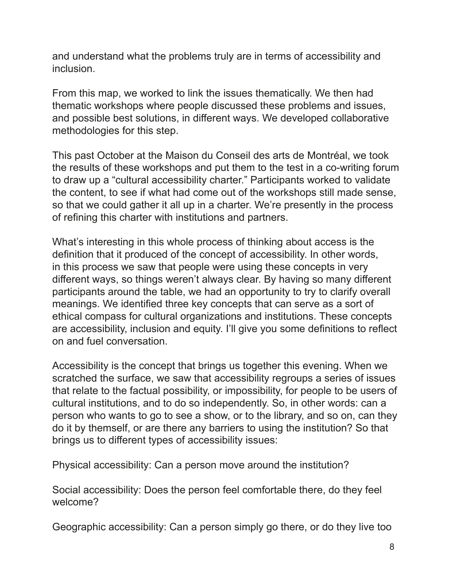and understand what the problems truly are in terms of accessibility and inclusion.

From this map, we worked to link the issues thematically. We then had thematic workshops where people discussed these problems and issues, and possible best solutions, in different ways. We developed collaborative methodologies for this step.

This past October at the Maison du Conseil des arts de Montréal, we took the results of these workshops and put them to the test in a co-writing forum to draw up a "cultural accessibility charter." Participants worked to validate the content, to see if what had come out of the workshops still made sense, so that we could gather it all up in a charter. We're presently in the process of refning this charter with institutions and partners.

What's interesting in this whole process of thinking about access is the defnition that it produced of the concept of accessibility. In other words, in this process we saw that people were using these concepts in very different ways, so things weren't always clear. By having so many different participants around the table, we had an opportunity to try to clarify overall meanings. We identifed three key concepts that can serve as a sort of ethical compass for cultural organizations and institutions. These concepts are accessibility, inclusion and equity. I'll give you some defnitions to refect on and fuel conversation.

Accessibility is the concept that brings us together this evening. When we scratched the surface, we saw that accessibility regroups a series of issues that relate to the factual possibility, or impossibility, for people to be users of cultural institutions, and to do so independently. So, in other words: can a person who wants to go to see a show, or to the library, and so on, can they do it by themself, or are there any barriers to using the institution? So that brings us to different types of accessibility issues:

Physical accessibility: Can a person move around the institution?

Social accessibility: Does the person feel comfortable there, do they feel welcome?

Geographic accessibility: Can a person simply go there, or do they live too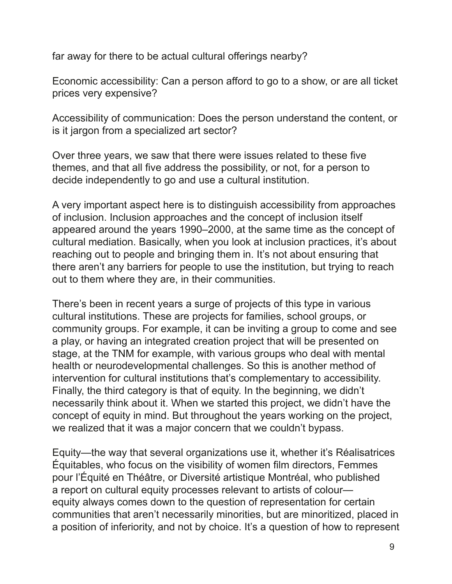far away for there to be actual cultural offerings nearby?

Economic accessibility: Can a person afford to go to a show, or are all ticket prices very expensive?

Accessibility of communication: Does the person understand the content, or is it jargon from a specialized art sector?

Over three years, we saw that there were issues related to these five themes, and that all five address the possibility, or not, for a person to decide independently to go and use a cultural institution.

A very important aspect here is to distinguish accessibility from approaches of inclusion. Inclusion approaches and the concept of inclusion itself appeared around the years 1990–2000, at the same time as the concept of cultural mediation. Basically, when you look at inclusion practices, it's about reaching out to people and bringing them in. It's not about ensuring that there aren't any barriers for people to use the institution, but trying to reach out to them where they are, in their communities.

There's been in recent years a surge of projects of this type in various cultural institutions. These are projects for families, school groups, or community groups. For example, it can be inviting a group to come and see a play, or having an integrated creation project that will be presented on stage, at the TNM for example, with various groups who deal with mental health or neurodevelopmental challenges. So this is another method of intervention for cultural institutions that's complementary to accessibility. Finally, the third category is that of equity. In the beginning, we didn't necessarily think about it. When we started this project, we didn't have the concept of equity in mind. But throughout the years working on the project, we realized that it was a major concern that we couldn't bypass.

Equity—the way that several organizations use it, whether it's Réalisatrices Équitables, who focus on the visibility of women flm directors, Femmes pour l'Équité en Théâtre, or Diversité artistique Montréal, who published a report on cultural equity processes relevant to artists of colour equity always comes down to the question of representation for certain communities that aren't necessarily minorities, but are minoritized, placed in a position of inferiority, and not by choice. It's a question of how to represent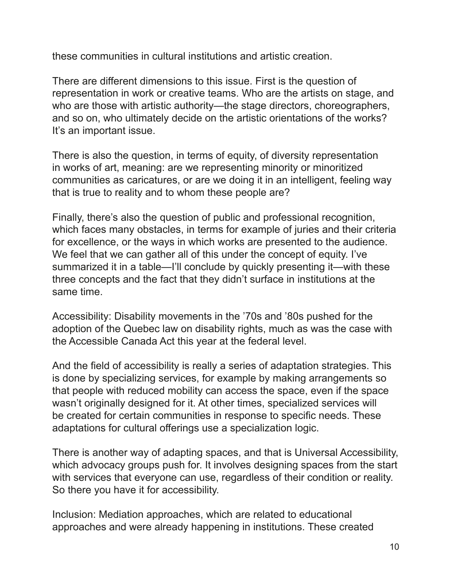these communities in cultural institutions and artistic creation.

There are different dimensions to this issue. First is the question of representation in work or creative teams. Who are the artists on stage, and who are those with artistic authority—the stage directors, choreographers, and so on, who ultimately decide on the artistic orientations of the works? It's an important issue.

There is also the question, in terms of equity, of diversity representation in works of art, meaning: are we representing minority or minoritized communities as caricatures, or are we doing it in an intelligent, feeling way that is true to reality and to whom these people are?

Finally, there's also the question of public and professional recognition, which faces many obstacles, in terms for example of juries and their criteria for excellence, or the ways in which works are presented to the audience. We feel that we can gather all of this under the concept of equity. I've summarized it in a table—I'll conclude by quickly presenting it—with these three concepts and the fact that they didn't surface in institutions at the same time.

Accessibility: Disability movements in the '70s and '80s pushed for the adoption of the Quebec law on disability rights, much as was the case with the Accessible Canada Act this year at the federal level.

And the field of accessibility is really a series of adaptation strategies. This is done by specializing services, for example by making arrangements so that people with reduced mobility can access the space, even if the space wasn't originally designed for it. At other times, specialized services will be created for certain communities in response to specifc needs. These adaptations for cultural offerings use a specialization logic.

There is another way of adapting spaces, and that is Universal Accessibility, which advocacy groups push for. It involves designing spaces from the start with services that everyone can use, regardless of their condition or reality. So there you have it for accessibility.

Inclusion: Mediation approaches, which are related to educational approaches and were already happening in institutions. These created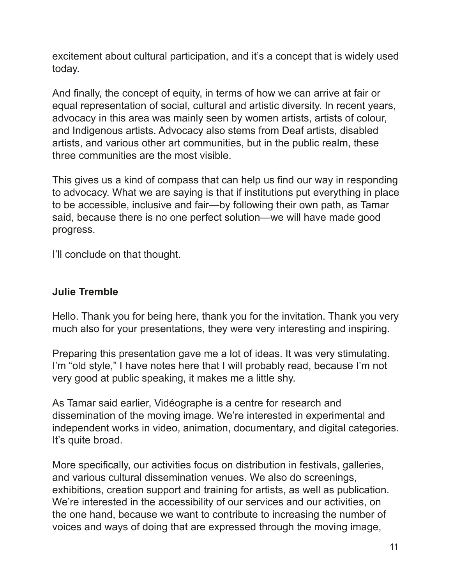excitement about cultural participation, and it's a concept that is widely used today.

And finally, the concept of equity, in terms of how we can arrive at fair or equal representation of social, cultural and artistic diversity. In recent years, advocacy in this area was mainly seen by women artists, artists of colour, and Indigenous artists. Advocacy also stems from Deaf artists, disabled artists, and various other art communities, but in the public realm, these three communities are the most visible.

This gives us a kind of compass that can help us find our way in responding to advocacy. What we are saying is that if institutions put everything in place to be accessible, inclusive and fair—by following their own path, as Tamar said, because there is no one perfect solution—we will have made good progress.

I'll conclude on that thought.

#### **Julie Tremble**

Hello. Thank you for being here, thank you for the invitation. Thank you very much also for your presentations, they were very interesting and inspiring.

Preparing this presentation gave me a lot of ideas. It was very stimulating. I'm "old style," I have notes here that I will probably read, because I'm not very good at public speaking, it makes me a little shy.

As Tamar said earlier, Vidéographe is a centre for research and dissemination of the moving image. We're interested in experimental and independent works in video, animation, documentary, and digital categories. It's quite broad.

More specifically, our activities focus on distribution in festivals, galleries, and various cultural dissemination venues. We also do screenings, exhibitions, creation support and training for artists, as well as publication. We're interested in the accessibility of our services and our activities, on the one hand, because we want to contribute to increasing the number of voices and ways of doing that are expressed through the moving image,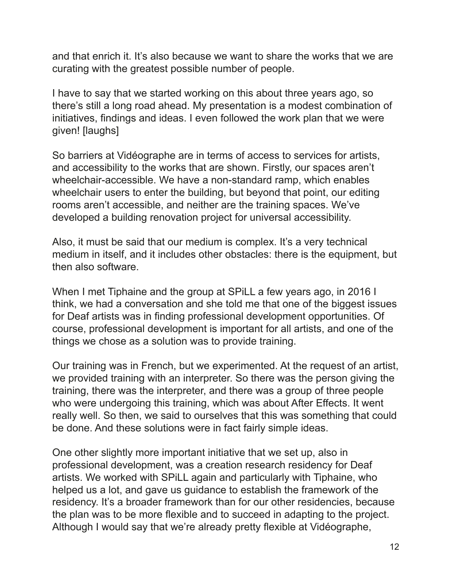and that enrich it. It's also because we want to share the works that we are curating with the greatest possible number of people.

I have to say that we started working on this about three years ago, so there's still a long road ahead. My presentation is a modest combination of initiatives, fndings and ideas. I even followed the work plan that we were given! [laughs]

So barriers at Vidéographe are in terms of access to services for artists, and accessibility to the works that are shown. Firstly, our spaces aren't wheelchair-accessible. We have a non-standard ramp, which enables wheelchair users to enter the building, but beyond that point, our editing rooms aren't accessible, and neither are the training spaces. We've developed a building renovation project for universal accessibility.

Also, it must be said that our medium is complex. It's a very technical medium in itself, and it includes other obstacles: there is the equipment, but then also software.

When I met Tiphaine and the group at SPiLL a few years ago, in 2016 I think, we had a conversation and she told me that one of the biggest issues for Deaf artists was in fnding professional development opportunities. Of course, professional development is important for all artists, and one of the things we chose as a solution was to provide training.

Our training was in French, but we experimented. At the request of an artist, we provided training with an interpreter. So there was the person giving the training, there was the interpreter, and there was a group of three people who were undergoing this training, which was about After Effects. It went really well. So then, we said to ourselves that this was something that could be done. And these solutions were in fact fairly simple ideas.

One other slightly more important initiative that we set up, also in professional development, was a creation research residency for Deaf artists. We worked with SPiLL again and particularly with Tiphaine, who helped us a lot, and gave us guidance to establish the framework of the residency. It's a broader framework than for our other residencies, because the plan was to be more fexible and to succeed in adapting to the project. Although I would say that we're already pretty fexible at Vidéographe,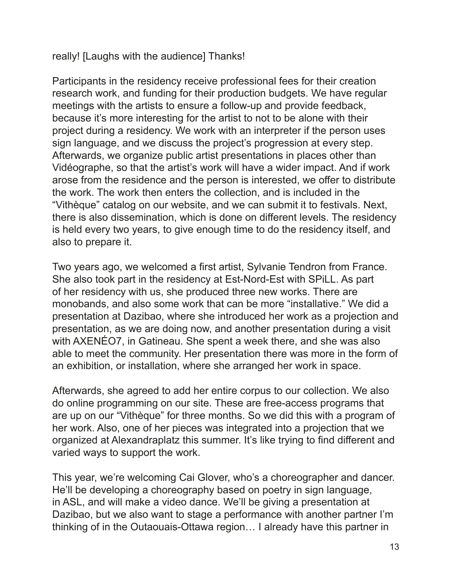really! [Laughs with the audience] Thanks!

Participants in the residency receive professional fees for their creation research work, and funding for their production budgets. We have regular meetings with the artists to ensure a follow-up and provide feedback, because it's more interesting for the artist to not to be alone with their project during a residency. We work with an interpreter if the person uses sign language, and we discuss the project's progression at every step. Afterwards, we organize public artist presentations in places other than Vidéographe, so that the artist's work will have a wider impact. And if work arose from the residence and the person is interested, we offer to distribute the work. The work then enters the collection, and is included in the "Vithèque" catalog on our website, and we can submit it to festivals. Next, there is also dissemination, which is done on different levels. The residency is held every two years, to give enough time to do the residency itself, and also to prepare it.

Two years ago, we welcomed a first artist, Sylvanie Tendron from France. She also took part in the residency at Est-Nord-Est with SPiLL. As part of her residency with us, she produced three new works. There are monobands, and also some work that can be more "installative." We did a presentation at Dazibao, where she introduced her work as a projection and presentation, as we are doing now, and another presentation during a visit with AXENÉO7, in Gatineau. She spent a week there, and she was also able to meet the community. Her presentation there was more in the form of an exhibition, or installation, where she arranged her work in space.

Afterwards, she agreed to add her entire corpus to our collection. We also do online programming on our site. These are free-access programs that are up on our "Vithèque" for three months. So we did this with a program of her work. Also, one of her pieces was integrated into a projection that we organized at Alexandraplatz this summer. It's like trying to fnd different and varied ways to support the work.

This year, we're welcoming Cai Glover, who's a choreographer and dancer. He'll be developing a choreography based on poetry in sign language, in ASL, and will make a video dance. We'll be giving a presentation at Dazibao, but we also want to stage a performance with another partner I'm thinking of in the Outaouais-Ottawa region… I already have this partner in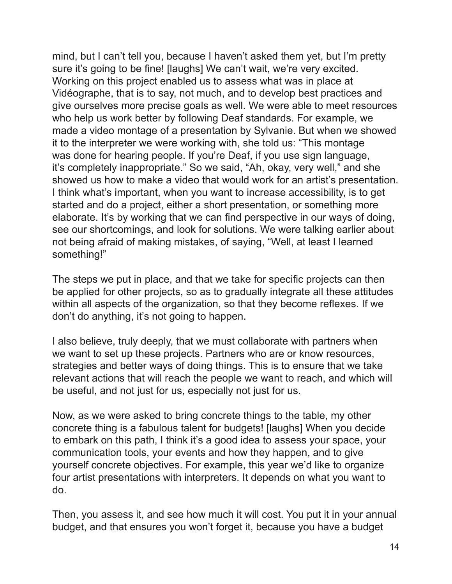mind, but I can't tell you, because I haven't asked them yet, but I'm pretty sure it's going to be fine! [laughs] We can't wait, we're very excited. Working on this project enabled us to assess what was in place at Vidéographe, that is to say, not much, and to develop best practices and give ourselves more precise goals as well. We were able to meet resources who help us work better by following Deaf standards. For example, we made a video montage of a presentation by Sylvanie. But when we showed it to the interpreter we were working with, she told us: "This montage was done for hearing people. If you're Deaf, if you use sign language, it's completely inappropriate." So we said, "Ah, okay, very well," and she showed us how to make a video that would work for an artist's presentation. I think what's important, when you want to increase accessibility, is to get started and do a project, either a short presentation, or something more elaborate. It's by working that we can find perspective in our ways of doing, see our shortcomings, and look for solutions. We were talking earlier about not being afraid of making mistakes, of saying, "Well, at least I learned something!"

The steps we put in place, and that we take for specific projects can then be applied for other projects, so as to gradually integrate all these attitudes within all aspects of the organization, so that they become reflexes. If we don't do anything, it's not going to happen.

I also believe, truly deeply, that we must collaborate with partners when we want to set up these projects. Partners who are or know resources, strategies and better ways of doing things. This is to ensure that we take relevant actions that will reach the people we want to reach, and which will be useful, and not just for us, especially not just for us.

Now, as we were asked to bring concrete things to the table, my other concrete thing is a fabulous talent for budgets! [laughs] When you decide to embark on this path, I think it's a good idea to assess your space, your communication tools, your events and how they happen, and to give yourself concrete objectives. For example, this year we'd like to organize four artist presentations with interpreters. It depends on what you want to do.

Then, you assess it, and see how much it will cost. You put it in your annual budget, and that ensures you won't forget it, because you have a budget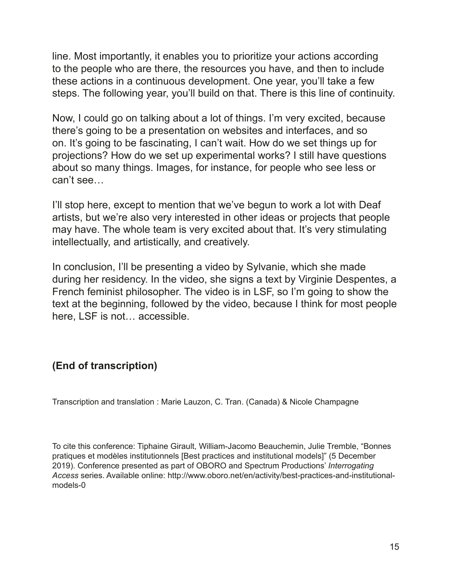line. Most importantly, it enables you to prioritize your actions according to the people who are there, the resources you have, and then to include these actions in a continuous development. One year, you'll take a few steps. The following year, you'll build on that. There is this line of continuity.

Now, I could go on talking about a lot of things. I'm very excited, because there's going to be a presentation on websites and interfaces, and so on. It's going to be fascinating, I can't wait. How do we set things up for projections? How do we set up experimental works? I still have questions about so many things. Images, for instance, for people who see less or can't see…

I'll stop here, except to mention that we've begun to work a lot with Deaf artists, but we're also very interested in other ideas or projects that people may have. The whole team is very excited about that. It's very stimulating intellectually, and artistically, and creatively.

In conclusion, I'll be presenting a video by Sylvanie, which she made during her residency. In the video, she signs a text by Virginie Despentes, a French feminist philosopher. The video is in LSF, so I'm going to show the text at the beginning, followed by the video, because I think for most people here, LSF is not… accessible.

### **(End of transcription)**

Transcription and translation : Marie Lauzon, C. Tran. (Canada) & Nicole Champagne

To cite this conference: Tiphaine Girault, William-Jacomo Beauchemin, Julie Tremble, "Bonnes pratiques et modèles institutionnels [Best practices and institutional models]" (5 December 2019). Conference presented as part of OBORO and Spectrum Productions' *Interrogating Access* series. Available online: http://www.oboro.net/en/activity/best-practices-and-institutionalmodels-0